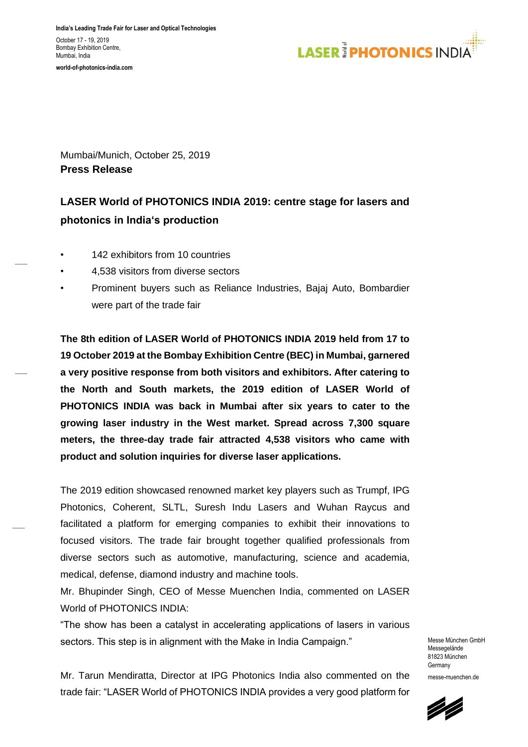**India's Leading Trade Fair for Laser and Optical Technologies** October 17 - 19, 2019 Bombay Exhibition Centre. Mumbai, India

**world-of-photonics-india.com**



Mumbai/Munich, October 25, 2019 **Press Release**

# **LASER World of PHOTONICS INDIA 2019: centre stage for lasers and photonics in India's production**

- 142 exhibitors from 10 countries
- 4,538 visitors from diverse sectors
- Prominent buyers such as Reliance Industries, Bajaj Auto, Bombardier were part of the trade fair

**The 8th edition of LASER World of PHOTONICS INDIA 2019 held from 17 to 19 October 2019 at the Bombay Exhibition Centre (BEC) in Mumbai, garnered a very positive response from both visitors and exhibitors. After catering to the North and South markets, the 2019 edition of LASER World of PHOTONICS INDIA was back in Mumbai after six years to cater to the growing laser industry in the West market. Spread across 7,300 square meters, the three-day trade fair attracted 4,538 visitors who came with product and solution inquiries for diverse laser applications.** 

The 2019 edition showcased renowned market key players such as Trumpf, IPG Photonics, Coherent, SLTL, Suresh Indu Lasers and Wuhan Raycus and facilitated a platform for emerging companies to exhibit their innovations to focused visitors. The trade fair brought together qualified professionals from diverse sectors such as automotive, manufacturing, science and academia, medical, defense, diamond industry and machine tools.

Mr. Bhupinder Singh, CEO of Messe Muenchen India, commented on LASER World of PHOTONICS INDIA:

"The show has been a catalyst in accelerating applications of lasers in various sectors. This step is in alignment with the Make in India Campaign."

Messe München GmbH Messegelände 81823 München Germany messe-muenchen.de

Mr. Tarun Mendiratta, Director at IPG Photonics India also commented on the trade fair: "LASER World of PHOTONICS INDIA provides a very good platform for

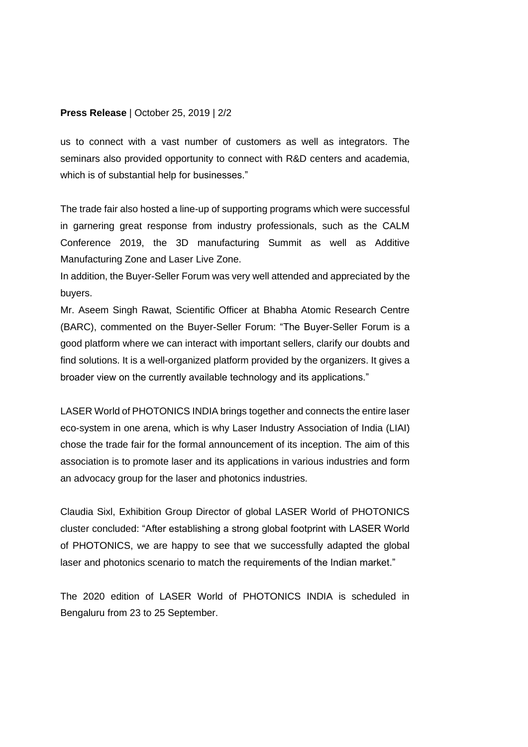### **Press Release** | October 25, 2019 | 2/2

us to connect with a vast number of customers as well as integrators. The seminars also provided opportunity to connect with R&D centers and academia, which is of substantial help for businesses."

The trade fair also hosted a line-up of supporting programs which were successful in garnering great response from industry professionals, such as the CALM Conference 2019, the 3D manufacturing Summit as well as Additive Manufacturing Zone and Laser Live Zone.

In addition, the Buyer-Seller Forum was very well attended and appreciated by the buyers.

Mr. Aseem Singh Rawat, Scientific Officer at Bhabha Atomic Research Centre (BARC), commented on the Buyer-Seller Forum: "The Buyer-Seller Forum is a good platform where we can interact with important sellers, clarify our doubts and find solutions. It is a well-organized platform provided by the organizers. It gives a broader view on the currently available technology and its applications."

LASER World of PHOTONICS INDIA brings together and connects the entire laser eco-system in one arena, which is why Laser Industry Association of India (LIAI) chose the trade fair for the formal announcement of its inception. The aim of this association is to promote laser and its applications in various industries and form an advocacy group for the laser and photonics industries.

Claudia Sixl, Exhibition Group Director of global LASER World of PHOTONICS cluster concluded: "After establishing a strong global footprint with LASER World of PHOTONICS, we are happy to see that we successfully adapted the global laser and photonics scenario to match the requirements of the Indian market."

The 2020 edition of LASER World of PHOTONICS INDIA is scheduled in Bengaluru from 23 to 25 September.